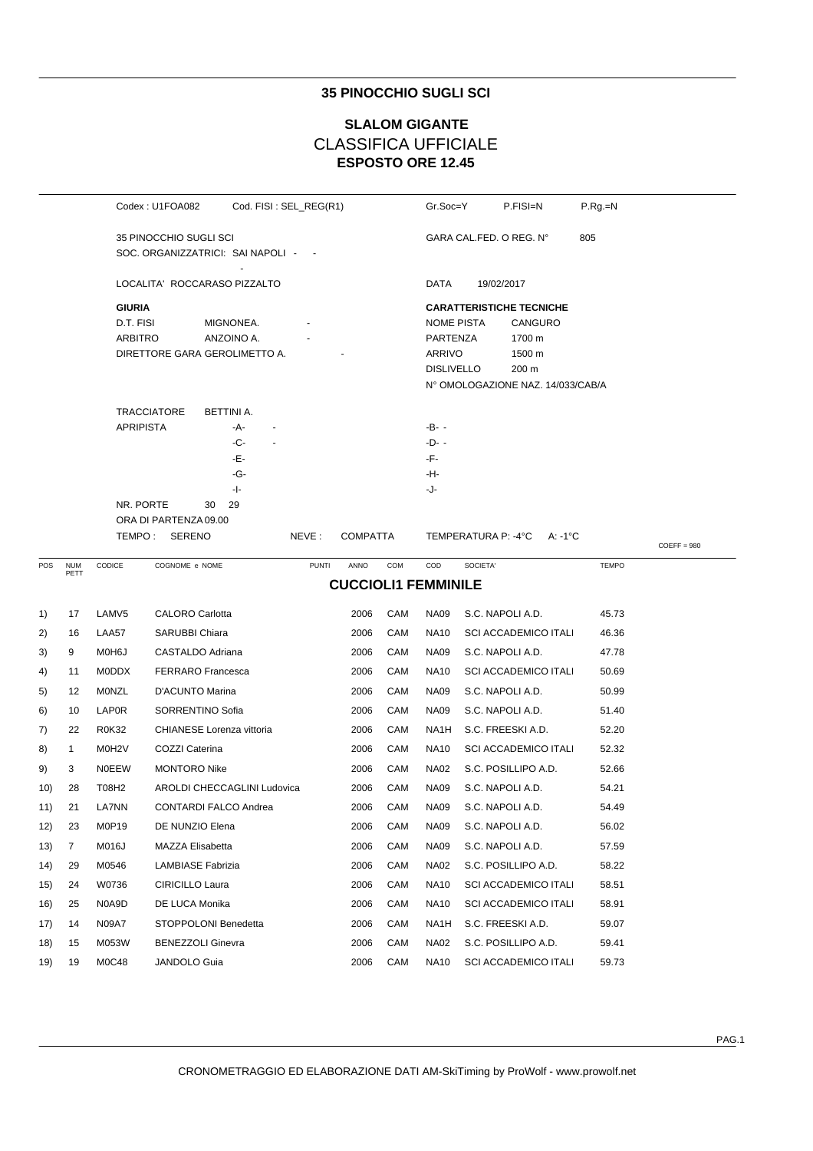## **35 PINOCCHIO SUGLI SCI**

# **ESPOSTO ORE 12.45 SLALOM GIGANTE** CLASSIFICA UFFICIALE

|     |                    |                   | Codex: U1FOA082                     | Cod. FISI: SEL_REG(R1)      |              |                            |                         | Gr.Soc=Y          | P.FISI=N                          | $P.Rg=N$     |               |
|-----|--------------------|-------------------|-------------------------------------|-----------------------------|--------------|----------------------------|-------------------------|-------------------|-----------------------------------|--------------|---------------|
|     |                    |                   | 35 PINOCCHIO SUGLI SCI              |                             |              |                            | GARA CAL FED. O REG. N° |                   | 805                               |              |               |
|     |                    |                   | SOC. ORGANIZZATRICI: SAI NAPOLI - - |                             |              |                            |                         |                   |                                   |              |               |
|     |                    |                   | LOCALITA' ROCCARASO PIZZALTO        |                             |              |                            |                         | DATA              | 19/02/2017                        |              |               |
|     |                    | <b>GIURIA</b>     |                                     |                             |              |                            |                         |                   | <b>CARATTERISTICHE TECNICHE</b>   |              |               |
|     |                    | D.T. FISI         |                                     | MIGNONEA.                   |              |                            |                         | NOME PISTA        | CANGURO                           |              |               |
|     |                    | <b>ARBITRO</b>    |                                     | ANZOINO A.                  |              |                            |                         | PARTENZA          | 1700 m                            |              |               |
|     |                    |                   | DIRETTORE GARA GEROLIMETTO A.       |                             |              |                            |                         | ARRIVO            | 1500 m                            |              |               |
|     |                    |                   |                                     |                             |              |                            |                         | <b>DISLIVELLO</b> | 200 m                             |              |               |
|     |                    |                   |                                     |                             |              |                            |                         |                   | N° OMOLOGAZIONE NAZ. 14/033/CAB/A |              |               |
|     |                    |                   | <b>TRACCIATORE</b>                  | BETTINI A.                  |              |                            |                         |                   |                                   |              |               |
|     |                    | <b>APRIPISTA</b>  |                                     | -A-                         |              |                            |                         | -B- -             |                                   |              |               |
|     |                    |                   |                                     | -C-                         |              |                            |                         | $-D-$             |                                   |              |               |
|     |                    |                   |                                     | -Е-                         |              |                            |                         | -F-               |                                   |              |               |
|     |                    |                   |                                     | -G-<br>- -                  |              |                            |                         | -H-<br>-J-        |                                   |              |               |
|     |                    | NR. PORTE         | 30                                  | 29                          |              |                            |                         |                   |                                   |              |               |
|     |                    |                   | ORA DI PARTENZA 09.00               |                             |              |                            |                         |                   |                                   |              |               |
|     |                    |                   | TEMPO: SERENO                       |                             | NEVE:        | <b>COMPATTA</b>            |                         |                   | TEMPERATURA P: -4°C<br>A: -1°C    |              | $COEFF = 980$ |
| POS | <b>NUM</b><br>PETT | CODICE            | COGNOME e NOME                      |                             | <b>PUNTI</b> | ANNO                       | COM                     | COD               | SOCIETA'                          | <b>TEMPO</b> |               |
|     |                    |                   |                                     |                             |              | <b>CUCCIOLI1 FEMMINILE</b> |                         |                   |                                   |              |               |
| 1)  | 17                 | LAMV <sub>5</sub> | <b>CALORO Carlotta</b>              |                             |              | 2006                       | CAM                     | <b>NA09</b>       | S.C. NAPOLI A.D.                  | 45.73        |               |
| 2)  | 16                 | LAA57             | SARUBBI Chiara                      |                             |              | 2006                       | CAM                     | <b>NA10</b>       | <b>SCI ACCADEMICO ITALI</b>       | 46.36        |               |
| 3)  | 9                  | M0H6J             | CASTALDO Adriana                    |                             |              | 2006                       | CAM                     | <b>NA09</b>       | S.C. NAPOLI A.D.                  | 47.78        |               |
| 4)  | 11                 | <b>MODDX</b>      | <b>FERRARO</b> Francesca            |                             |              | 2006                       | CAM                     | <b>NA10</b>       | <b>SCI ACCADEMICO ITALI</b>       | 50.69        |               |
| 5)  | 12                 | MONZL             | D'ACUNTO Marina                     |                             |              | 2006                       | CAM                     | <b>NA09</b>       | S.C. NAPOLI A.D.                  | 50.99        |               |
| 6)  | 10                 | <b>LAP0R</b>      | SORRENTINO Sofia                    |                             |              | 2006                       | CAM                     | <b>NA09</b>       | S.C. NAPOLI A.D.                  | 51.40        |               |
| 7)  | 22                 | <b>R0K32</b>      | CHIANESE Lorenza vittoria           |                             |              | 2006                       | CAM                     | NA1H              | S.C. FREESKI A.D.                 | 52.20        |               |
| 8)  | $\mathbf{1}$       | M0H2V             | COZZI Caterina                      |                             |              | 2006                       | CAM                     | <b>NA10</b>       | <b>SCI ACCADEMICO ITALI</b>       | 52.32        |               |
| 9)  | 3                  | <b>NOEEW</b>      | <b>MONTORO Nike</b>                 |                             |              | 2006                       | CAM                     | <b>NA02</b>       | S.C. POSILLIPO A.D.               | 52.66        |               |
| 10) | 28                 | T08H2             |                                     | AROLDI CHECCAGLINI Ludovica |              | 2006                       | CAM                     | <b>NA09</b>       | S.C. NAPOLI A.D.                  | 54.21        |               |
| 11) | 21                 | <b>LA7NN</b>      | <b>CONTARDI FALCO Andrea</b>        |                             |              | 2006                       | CAM                     | <b>NA09</b>       | S.C. NAPOLI A.D.                  | 54.49        |               |
| 12) | 23                 | M0P19             | DE NUNZIO Elena                     |                             |              | 2006                       | CAM                     | <b>NA09</b>       | S.C. NAPOLI A.D.                  | 56.02        |               |
| 13) | 7                  | M016J             | MAZZA Elisabetta                    |                             |              | 2006                       | CAM                     | <b>NA09</b>       | S.C. NAPOLI A.D.                  | 57.59        |               |
| 14) | 29                 | M0546             | LAMBIASE Fabrizia                   |                             |              | 2006                       | CAM                     | <b>NA02</b>       | S.C. POSILLIPO A.D.               | 58.22        |               |
| 15) | 24                 | W0736             | CIRICILLO Laura                     |                             |              | 2006                       | CAM                     | <b>NA10</b>       | <b>SCI ACCADEMICO ITALI</b>       | 58.51        |               |
| 16) | 25                 | N0A9D             | DE LUCA Monika                      |                             |              | 2006                       | CAM                     | <b>NA10</b>       | <b>SCI ACCADEMICO ITALI</b>       | 58.91        |               |
| 17) | 14                 | N09A7             | STOPPOLONI Benedetta                |                             |              | 2006                       | CAM                     | NA <sub>1</sub> H | S.C. FREESKI A.D.                 | 59.07        |               |
| 18) | 15                 | M053W             | <b>BENEZZOLI Ginevra</b>            |                             |              | 2006                       | CAM                     | <b>NA02</b>       | S.C. POSILLIPO A.D.               | 59.41        |               |
| 19) | 19                 | M0C48             | JANDOLO Guia                        |                             |              | 2006                       | CAM                     | <b>NA10</b>       | <b>SCI ACCADEMICO ITALI</b>       | 59.73        |               |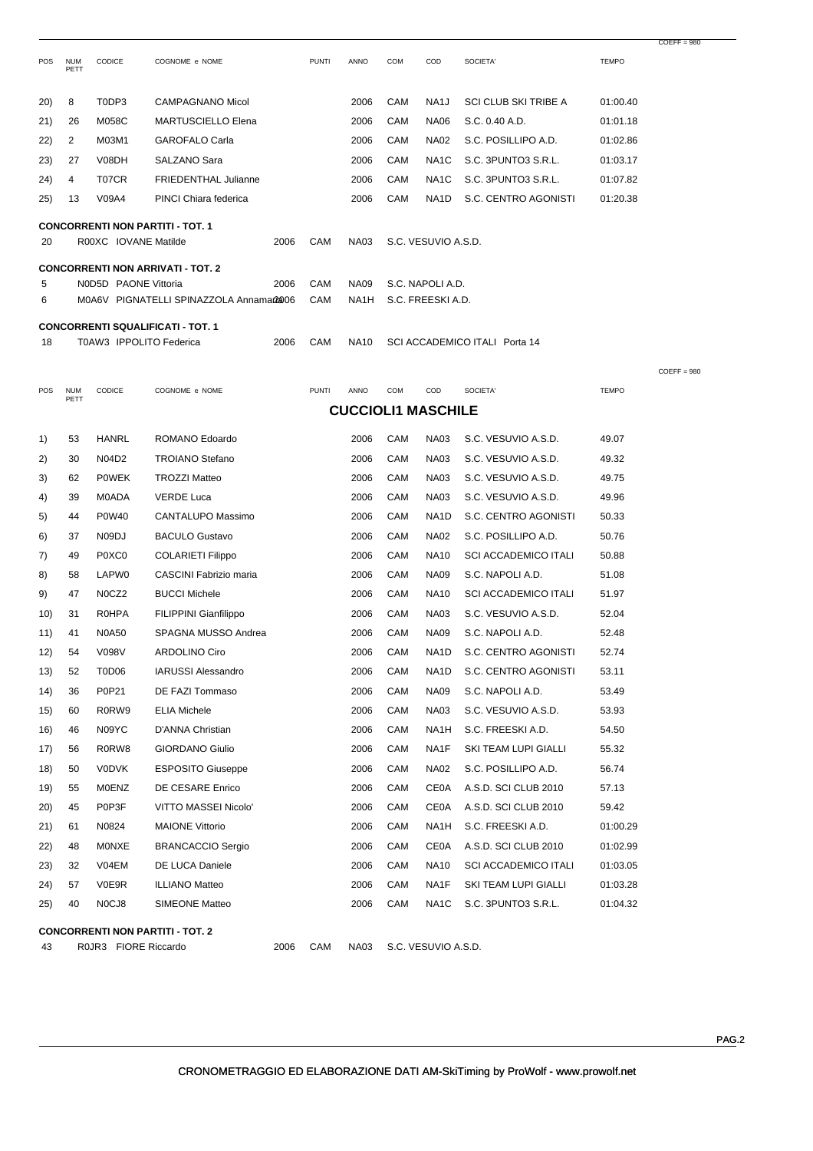| POS | <b>NUM</b><br>PETT | CODICE                         | COGNOME e NOME                           |      | <b>PUNTI</b> | ANNO                      | <b>COM</b> | COD                 | SOCIETA'                      | <b>TEMPO</b> |               |
|-----|--------------------|--------------------------------|------------------------------------------|------|--------------|---------------------------|------------|---------------------|-------------------------------|--------------|---------------|
| 20) | 8                  | T0DP3                          | CAMPAGNANO Micol                         |      |              | 2006                      | CAM        | NA1J                | SCI CLUB SKI TRIBE A          | 01:00.40     |               |
| 21) | 26                 | M058C                          | <b>MARTUSCIELLO Elena</b>                |      |              | 2006                      | CAM        | <b>NA06</b>         | S.C. 0.40 A.D.                | 01:01.18     |               |
| 22) | 2                  | M03M1                          | <b>GAROFALO Carla</b>                    |      |              | 2006                      | CAM        | <b>NA02</b>         | S.C. POSILLIPO A.D.           | 01:02.86     |               |
| 23) | 27                 | V08DH                          | SALZANO Sara                             |      |              | 2006                      | CAM        | NA <sub>1</sub> C   | S.C. 3PUNTO3 S.R.L.           | 01:03.17     |               |
| 24) | 4                  | T07CR                          | <b>FRIEDENTHAL Julianne</b>              |      |              | 2006                      | CAM        | NA1C                | S.C. 3PUNTO3 S.R.L.           | 01:07.82     |               |
| 25) | 13                 | V09A4                          | PINCI Chiara federica                    |      |              | 2006                      | CAM        | NA1D                | S.C. CENTRO AGONISTI          | 01:20.38     |               |
|     |                    |                                |                                          |      |              |                           |            |                     |                               |              |               |
| 20  |                    | R00XC IOVANE Matilde           | <b>CONCORRENTI NON PARTITI - TOT. 1</b>  | 2006 | CAM          | <b>NA03</b>               |            | S.C. VESUVIO A.S.D. |                               |              |               |
|     |                    |                                | <b>CONCORRENTI NON ARRIVATI - TOT. 2</b> |      |              |                           |            |                     |                               |              |               |
| 5   |                    | NOD5D PAONE Vittoria           |                                          | 2006 | CAM          | <b>NA09</b>               |            | S.C. NAPOLI A.D.    |                               |              |               |
| 6   |                    |                                | M0A6V PIGNATELLI SPINAZZOLA Annama@@06   |      | CAM          | NA <sub>1</sub> H         |            | S.C. FREESKI A.D.   |                               |              |               |
|     |                    |                                | <b>CONCORRENTI SQUALIFICATI - TOT. 1</b> |      |              |                           |            |                     |                               |              |               |
| 18  |                    | T0AW3 IPPOLITO Federica        |                                          | 2006 | CAM          | <b>NA10</b>               |            |                     | SCI ACCADEMICO ITALI Porta 14 |              |               |
|     |                    |                                |                                          |      |              |                           |            |                     |                               |              | $COEFF = 980$ |
| POS | <b>NUM</b>         | <b>CODICE</b>                  | COGNOME e NOME                           |      | <b>PUNTI</b> | ANNO                      | <b>COM</b> | COD                 | SOCIETA'                      | <b>TEMPO</b> |               |
|     | PETT               |                                |                                          |      |              | <b>CUCCIOLI1 MASCHILE</b> |            |                     |                               |              |               |
|     |                    |                                |                                          |      |              |                           |            |                     |                               |              |               |
| 1)  | 53                 | <b>HANRL</b>                   | ROMANO Edoardo                           |      |              | 2006                      | CAM        | <b>NA03</b>         | S.C. VESUVIO A.S.D.           | 49.07        |               |
| 2)  | 30                 | N04D2                          | <b>TROIANO Stefano</b>                   |      |              | 2006                      | CAM        | <b>NA03</b>         | S.C. VESUVIO A.S.D.           | 49.32        |               |
| 3)  | 62                 | <b>POWEK</b>                   | <b>TROZZI Matteo</b>                     |      |              | 2006                      | CAM        | <b>NA03</b>         | S.C. VESUVIO A.S.D.           | 49.75        |               |
| 4)  | 39                 | <b>MOADA</b>                   | <b>VERDE Luca</b>                        |      |              | 2006                      | CAM        | <b>NA03</b>         | S.C. VESUVIO A.S.D.           | 49.96        |               |
| 5)  | 44                 | <b>P0W40</b>                   | CANTALUPO Massimo                        |      |              | 2006                      | CAM        | NA1D                | S.C. CENTRO AGONISTI          | 50.33        |               |
| 6)  | 37                 | N09DJ                          | <b>BACULO Gustavo</b>                    |      |              | 2006                      | CAM        | <b>NA02</b>         | S.C. POSILLIPO A.D.           | 50.76        |               |
| 7)  | 49                 | P0XC0                          | <b>COLARIETI Filippo</b>                 |      |              | 2006                      | CAM        | <b>NA10</b>         | <b>SCI ACCADEMICO ITALI</b>   | 50.88        |               |
| 8)  | 58                 | LAPW0                          | CASCINI Fabrizio maria                   |      |              | 2006                      | CAM        | <b>NA09</b>         | S.C. NAPOLI A.D.              | 51.08        |               |
| 9)  | 47                 | N0CZ2                          | <b>BUCCI Michele</b>                     |      |              | 2006                      | CAM        | <b>NA10</b>         | SCI ACCADEMICO ITALI          | 51.97        |               |
| 10) | 31                 | <b>ROHPA</b>                   | <b>FILIPPINI Gianfilippo</b>             |      |              | 2006                      | CAM        | NA03                | S.C. VESUVIO A.S.D.           | 52.04        |               |
| 11) | 41                 | <b>N0A50</b>                   | SPAGNA MUSSO Andrea                      |      |              | 2006                      | CAM        | <b>NA09</b>         | S.C. NAPOLI A.D.              | 52.48        |               |
| 12) | 54                 | V098V                          | <b>ARDOLINO Ciro</b>                     |      |              | 2006                      | CAM        | NA <sub>1</sub> D   | S.C. CENTRO AGONISTI          | 52.74        |               |
| 13) | 52                 | <b>T0D06</b>                   | <b>IARUSSI Alessandro</b>                |      |              | 2006                      | CAM        | NA1D                | S.C. CENTRO AGONISTI          | 53.11        |               |
| 14) | 36                 | P0P21                          | DE FAZI Tommaso                          |      |              | 2006                      | CAM        | <b>NA09</b>         | S.C. NAPOLI A.D.              | 53.49        |               |
| 15) | 60                 | R0RW9                          | <b>ELIA Michele</b>                      |      |              | 2006                      | CAM        | <b>NA03</b>         | S.C. VESUVIO A.S.D.           | 53.93        |               |
| 16) | 46                 | N09YC                          | D'ANNA Christian                         |      |              | 2006                      | CAM        | NA1H                | S.C. FREESKI A.D.             | 54.50        |               |
| 17) | 56                 | R0RW8                          | <b>GIORDANO Giulio</b>                   |      |              | 2006                      | CAM        | NA1F                | SKI TEAM LUPI GIALLI          | 55.32        |               |
| 18) | 50                 | <b>VODVK</b>                   | <b>ESPOSITO Giuseppe</b>                 |      |              | 2006                      | CAM        | <b>NA02</b>         | S.C. POSILLIPO A.D.           | 56.74        |               |
| 19) | 55                 | MOENZ                          | DE CESARE Enrico                         |      |              | 2006                      | CAM        | <b>CE0A</b>         | A.S.D. SCI CLUB 2010          | 57.13        |               |
| 20) | 45                 | P0P3F                          | VITTO MASSEI Nicolo'                     |      |              | 2006                      | CAM        | CE0A                | A.S.D. SCI CLUB 2010          | 59.42        |               |
| 21) | 61                 | N0824                          | <b>MAIONE Vittorio</b>                   |      |              | 2006                      | CAM        | NA1H                | S.C. FREESKI A.D.             | 01:00.29     |               |
| 22) | 48                 | MONXE                          | <b>BRANCACCIO Sergio</b>                 |      |              | 2006                      | CAM        | <b>CE0A</b>         | A.S.D. SCI CLUB 2010          | 01:02.99     |               |
| 23) | 32                 | V04EM                          | DE LUCA Daniele                          |      |              | 2006                      | CAM        | <b>NA10</b>         | <b>SCI ACCADEMICO ITALI</b>   | 01:03.05     |               |
| 24) | 57                 | V0E9R                          | <b>ILLIANO Matteo</b>                    |      |              | 2006                      | CAM        | NA1F                | SKI TEAM LUPI GIALLI          | 01:03.28     |               |
| 25) | 40                 | N <sub>0</sub> CJ <sub>8</sub> | SIMEONE Matteo                           |      |              | 2006                      | CAM        | NA1C                | S.C. 3PUNTO3 S.R.L.           | 01:04.32     |               |
|     |                    |                                | <b>CONCORRENTI NON PARTITI - TOT. 2</b>  |      |              |                           |            |                     |                               |              |               |
| 43  |                    | R0JR3 FIORE Riccardo           |                                          | 2006 | CAM          | <b>NA03</b>               |            | S.C. VESUVIO A.S.D. |                               |              |               |

 $COEFF = 980$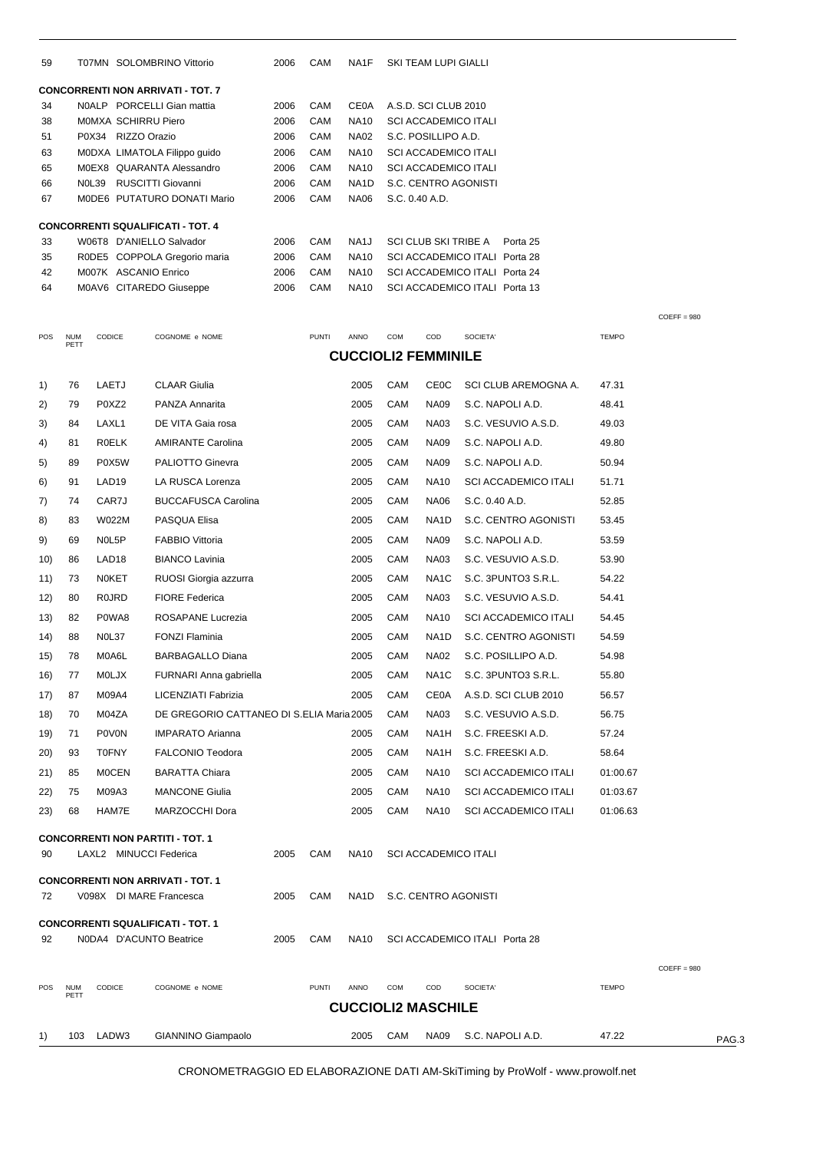| 59  |                    |                         | T07MN SOLOMBRINO Vittorio                 | 2006 | CAM          | NA1F                       |                | SKI TEAM LUPI GIALLI        |                                                                |              |               |       |
|-----|--------------------|-------------------------|-------------------------------------------|------|--------------|----------------------------|----------------|-----------------------------|----------------------------------------------------------------|--------------|---------------|-------|
|     |                    |                         | <b>CONCORRENTI NON ARRIVATI - TOT. 7</b>  |      |              |                            |                |                             |                                                                |              |               |       |
| 34  |                    |                         | N0ALP PORCELLI Gian mattia                | 2006 | CAM          | <b>CE0A</b>                |                | A.S.D. SCI CLUB 2010        |                                                                |              |               |       |
| 38  |                    | MOMXA SCHIRRU Piero     |                                           | 2006 | CAM          | <b>NA10</b>                |                | <b>SCI ACCADEMICO ITALI</b> |                                                                |              |               |       |
| 51  |                    | P0X34 RIZZO Orazio      |                                           | 2006 | CAM          | <b>NA02</b>                |                | S.C. POSILLIPO A.D.         |                                                                |              |               |       |
| 63  |                    |                         | MODXA LIMATOLA Filippo guido              | 2006 | CAM          | <b>NA10</b>                |                | <b>SCI ACCADEMICO ITALI</b> |                                                                |              |               |       |
| 65  |                    |                         | M0EX8 QUARANTA Alessandro                 | 2006 | CAM          | <b>NA10</b>                |                | <b>SCI ACCADEMICO ITALI</b> |                                                                |              |               |       |
| 66  |                    | N0L39 RUSCITTI Giovanni |                                           | 2006 | CAM          | NA <sub>1</sub> D          |                |                             | S.C. CENTRO AGONISTI                                           |              |               |       |
| 67  |                    |                         | MODE6 PUTATURO DONATI Mario               | 2006 | CAM          | <b>NA06</b>                | S.C. 0.40 A.D. |                             |                                                                |              |               |       |
|     |                    |                         | <b>CONCORRENTI SQUALIFICATI - TOT. 4</b>  |      |              |                            |                |                             |                                                                |              |               |       |
| 33  |                    |                         | W06T8 D'ANIELLO Salvador                  | 2006 | CAM          | NA <sub>1</sub> J          |                | SCI CLUB SKI TRIBE A        | Porta 25                                                       |              |               |       |
| 35  |                    |                         | R0DE5 COPPOLA Gregorio maria              | 2006 | CAM          | <b>NA10</b><br><b>NA10</b> |                |                             | SCI ACCADEMICO ITALI Porta 28<br>SCI ACCADEMICO ITALI Porta 24 |              |               |       |
| 42  |                    | M007K ASCANIO Enrico    |                                           | 2006 | CAM          |                            |                |                             |                                                                |              |               |       |
| 64  |                    |                         | M0AV6 CITAREDO Giuseppe                   | 2006 | CAM          | <b>NA10</b>                |                |                             | SCI ACCADEMICO ITALI Porta 13                                  |              |               |       |
|     |                    |                         |                                           |      |              |                            |                |                             |                                                                |              | $COEFF = 980$ |       |
| POS | <b>NUM</b><br>PETT | CODICE                  | COGNOME e NOME                            |      | <b>PUNTI</b> | ANNO                       | <b>COM</b>     | COD                         | SOCIETA'                                                       | <b>TEMPO</b> |               |       |
|     |                    |                         |                                           |      |              | <b>CUCCIOLI2 FEMMINILE</b> |                |                             |                                                                |              |               |       |
| 1)  | 76                 | LAETJ                   | <b>CLAAR Giulia</b>                       |      |              | 2005                       | CAM            | <b>CE0C</b>                 | SCI CLUB AREMOGNA A.                                           | 47.31        |               |       |
| 2)  | 79                 | P0XZ2                   | PANZA Annarita                            |      |              | 2005                       | CAM            | <b>NA09</b>                 | S.C. NAPOLI A.D.                                               | 48.41        |               |       |
| 3)  | 84                 | LAXL1                   | DE VITA Gaia rosa                         |      |              | 2005                       | CAM            | <b>NA03</b>                 | S.C. VESUVIO A.S.D.                                            | 49.03        |               |       |
| 4)  | 81                 | <b>ROELK</b>            | <b>AMIRANTE Carolina</b>                  |      |              | 2005                       | <b>CAM</b>     | <b>NA09</b>                 | S.C. NAPOLI A.D.                                               | 49.80        |               |       |
|     |                    | P0X5W                   | PALIOTTO Ginevra                          |      |              | 2005                       | CAM            |                             |                                                                |              |               |       |
| 5)  | 89                 |                         |                                           |      |              |                            |                | <b>NA09</b>                 | S.C. NAPOLI A.D.                                               | 50.94        |               |       |
| 6)  | 91                 | LAD <sub>19</sub>       | LA RUSCA Lorenza                          |      |              | 2005                       | CAM            | <b>NA10</b>                 | <b>SCI ACCADEMICO ITALI</b>                                    | 51.71        |               |       |
| 7)  | 74                 | CAR7J                   | <b>BUCCAFUSCA Carolina</b>                |      |              | 2005                       | CAM            | <b>NA06</b>                 | S.C. 0.40 A.D.                                                 | 52.85        |               |       |
| 8)  | 83                 | W022M                   | PASQUA Elisa                              |      |              | 2005                       | <b>CAM</b>     | NA <sub>1</sub> D           | S.C. CENTRO AGONISTI                                           | 53.45        |               |       |
| 9)  | 69                 | NOL5P                   | <b>FABBIO Vittoria</b>                    |      |              | 2005                       | CAM            | <b>NA09</b>                 | S.C. NAPOLI A.D.                                               | 53.59        |               |       |
| 10) | 86                 | LAD <sub>18</sub>       | <b>BIANCO Lavinia</b>                     |      |              | 2005                       | <b>CAM</b>     | <b>NA03</b>                 | S.C. VESUVIO A.S.D.                                            | 53.90        |               |       |
| 11) | 73                 | <b>NOKET</b>            | RUOSI Giorgia azzurra                     |      |              | 2005                       | CAM            | NA <sub>1</sub> C           | S.C. 3PUNTO3 S.R.L.                                            | 54.22        |               |       |
| 12) | 80                 | <b>ROJRD</b>            | <b>FIORE Federica</b>                     |      |              | 2005                       | <b>CAM</b>     | <b>NA03</b>                 | S.C. VESUVIO A.S.D.                                            | 54.41        |               |       |
| 13) | 82                 | P0WA8                   | ROSAPANE Lucrezia                         |      |              | 2005                       | <b>CAM</b>     | <b>NA10</b>                 | <b>SCI ACCADEMICO ITALI</b>                                    | 54.45        |               |       |
| 14) | 88                 | NOL37                   | <b>FONZI Flaminia</b>                     |      |              | 2005                       | CAM            | NA1D                        | S.C. CENTRO AGONISTI                                           | 54.59        |               |       |
|     | 78                 | M0A6L                   |                                           |      |              | 2005                       | CAM            | <b>NA02</b>                 | S.C. POSILLIPO A.D.                                            | 54.98        |               |       |
| 15) |                    |                         | <b>BARBAGALLO Diana</b>                   |      |              |                            |                |                             |                                                                |              |               |       |
| 16) | 77                 | <b>MOLJX</b>            | FURNARI Anna gabriella                    |      |              | 2005                       | CAM            | NA <sub>1</sub> C           | S.C. 3PUNTO3 S.R.L.                                            | 55.80        |               |       |
| 17) | 87                 | M09A4                   | LICENZIATI Fabrizia                       |      |              | 2005                       | CAM            | <b>CE0A</b>                 | A.S.D. SCI CLUB 2010                                           | 56.57        |               |       |
| 18) | 70                 | M04ZA                   | DE GREGORIO CATTANEO DI S.ELIA Maria 2005 |      |              |                            | <b>CAM</b>     | <b>NA03</b>                 | S.C. VESUVIO A.S.D.                                            | 56.75        |               |       |
| 19) | 71                 | <b>POVON</b>            | <b>IMPARATO Arianna</b>                   |      |              | 2005                       | <b>CAM</b>     | NA1H                        | S.C. FREESKI A.D.                                              | 57.24        |               |       |
| 20) | 93                 | <b>T0FNY</b>            | <b>FALCONIO Teodora</b>                   |      |              | 2005                       | CAM            | NA <sub>1</sub> H           | S.C. FREESKI A.D.                                              | 58.64        |               |       |
| 21) | 85                 | <b>MOCEN</b>            | <b>BARATTA Chiara</b>                     |      |              | 2005                       | CAM            | <b>NA10</b>                 | <b>SCI ACCADEMICO ITALI</b>                                    | 01:00.67     |               |       |
| 22) | 75                 | M09A3                   | <b>MANCONE Giulia</b>                     |      |              | 2005                       | CAM            | <b>NA10</b>                 | <b>SCI ACCADEMICO ITALI</b>                                    | 01:03.67     |               |       |
| 23) | 68                 | HAM7E                   | MARZOCCHI Dora                            |      |              | 2005                       | CAM            | <b>NA10</b>                 | <b>SCI ACCADEMICO ITALI</b>                                    | 01:06.63     |               |       |
|     |                    |                         | <b>CONCORRENTI NON PARTITI - TOT. 1</b>   |      |              |                            |                |                             |                                                                |              |               |       |
| 90  |                    | LAXL2 MINUCCI Federica  |                                           | 2005 | CAM          | <b>NA10</b>                |                | <b>SCI ACCADEMICO ITALI</b> |                                                                |              |               |       |
|     |                    |                         | <b>CONCORRENTI NON ARRIVATI - TOT. 1</b>  |      |              |                            |                |                             |                                                                |              |               |       |
| 72  |                    |                         | V098X DI MARE Francesca                   | 2005 | CAM          | NA1D                       |                |                             | S.C. CENTRO AGONISTI                                           |              |               |       |
|     |                    |                         | <b>CONCORRENTI SQUALIFICATI - TOT. 1</b>  |      |              |                            |                |                             |                                                                |              |               |       |
| 92  |                    | N0DA4 D'ACUNTO Beatrice |                                           | 2005 | CAM          | <b>NA10</b>                |                |                             | SCI ACCADEMICO ITALI Porta 28                                  |              |               |       |
|     |                    |                         |                                           |      |              |                            |                |                             |                                                                |              |               |       |
| POS | <b>NUM</b>         | CODICE                  | COGNOME e NOME                            |      | <b>PUNTI</b> | ANNO                       | COM            | COD                         | SOCIETA'                                                       | <b>TEMPO</b> | $COEFF = 980$ |       |
|     | PETT               |                         |                                           |      |              |                            |                |                             |                                                                |              |               |       |
|     |                    |                         |                                           |      |              | <b>CUCCIOLI2 MASCHILE</b>  |                |                             |                                                                |              |               |       |
| 1)  | 103                | LADW3                   | GIANNINO Giampaolo                        |      |              | 2005                       | <b>CAM</b>     | <b>NA09</b>                 | S.C. NAPOLI A.D.                                               | 47.22        |               | PAG.3 |

CRONOMETRAGGIO ED ELABORAZIONE DATI AM-SkiTiming by ProWolf - www.prowolf.net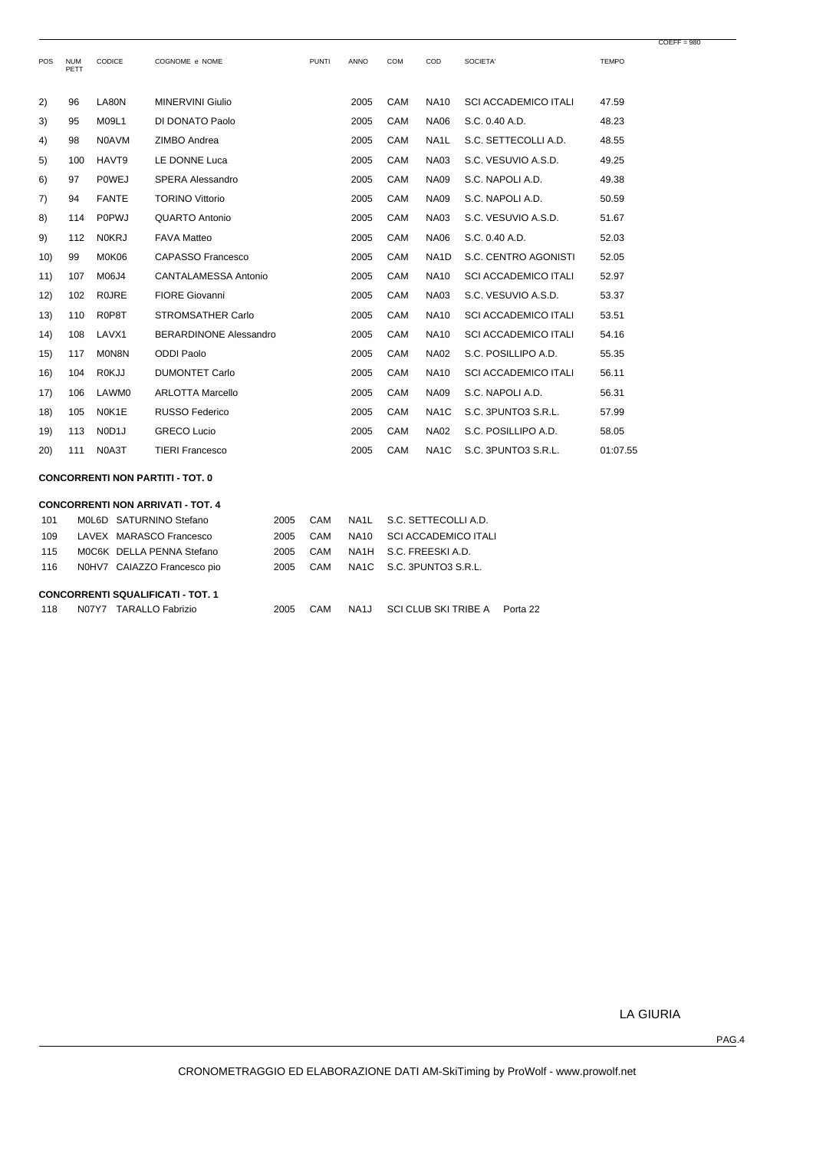| POS  | <b>NUM</b><br>PETT | CODICE                          | COGNOME e NOME                | <b>PUNTI</b> | <b>ANNO</b> | <b>COM</b> | COD               | SOCIETA'                    | <b>TEMPO</b> |
|------|--------------------|---------------------------------|-------------------------------|--------------|-------------|------------|-------------------|-----------------------------|--------------|
| 2)   | 96                 | LA80N                           | <b>MINERVINI Giulio</b>       |              | 2005        | CAM        | <b>NA10</b>       | <b>SCI ACCADEMICO ITALI</b> | 47.59        |
| 3)   | 95                 | M09L1                           | DI DONATO Paolo               |              | 2005        | CAM        | <b>NA06</b>       | S.C. 0.40 A.D.              | 48.23        |
| 4)   | 98                 | <b>N0AVM</b>                    | ZIMBO Andrea                  |              | 2005        | CAM        | NA <sub>1</sub> L | S.C. SETTECOLLI A.D.        | 48.55        |
| 5)   | 100                | HAVT9                           | LE DONNE Luca                 |              | 2005        | CAM        | <b>NA03</b>       | S.C. VESUVIO A.S.D.         | 49.25        |
| 6)   | 97                 | <b>POWEJ</b>                    | <b>SPERA Alessandro</b>       |              | 2005        | CAM        | <b>NA09</b>       | S.C. NAPOLI A.D.            | 49.38        |
| 7)   | 94                 | <b>FANTE</b>                    | <b>TORINO Vittorio</b>        |              | 2005        | CAM        | <b>NA09</b>       | S.C. NAPOLI A.D.            | 50.59        |
| 8)   | 114                | <b>P0PWJ</b>                    | QUARTO Antonio                |              | 2005        | CAM        | <b>NA03</b>       | S.C. VESUVIO A.S.D.         | 51.67        |
| 9)   | 112                | <b>NOKRJ</b>                    | <b>FAVA Matteo</b>            |              | 2005        | CAM        | <b>NA06</b>       | S.C. 0.40 A.D.              | 52.03        |
| 10)  | 99                 | M0K06                           | CAPASSO Francesco             |              | 2005        | CAM        | NA <sub>1</sub> D | S.C. CENTRO AGONISTI        | 52.05        |
| 11)  | 107                | M06J4                           | <b>CANTALAMESSA Antonio</b>   |              | 2005        | CAM        | <b>NA10</b>       | <b>SCI ACCADEMICO ITALI</b> | 52.97        |
| 12)  | 102                | <b>ROJRE</b>                    | <b>FIORE Giovanni</b>         |              | 2005        | CAM        | <b>NA03</b>       | S.C. VESUVIO A.S.D.         | 53.37        |
| (13) | 110                | R0P8T                           | <b>STROMSATHER Carlo</b>      |              | 2005        | CAM        | <b>NA10</b>       | <b>SCI ACCADEMICO ITALI</b> | 53.51        |
| (14) | 108                | LAVX1                           | <b>BERARDINONE Alessandro</b> |              | 2005        | CAM        | <b>NA10</b>       | <b>SCI ACCADEMICO ITALI</b> | 54.16        |
| 15)  | 117                | M0N8N                           | <b>ODDI Paolo</b>             |              | 2005        | CAM        | <b>NA02</b>       | S.C. POSILLIPO A.D.         | 55.35        |
| 16)  | 104                | <b>ROKJJ</b>                    | <b>DUMONTET Carlo</b>         |              | 2005        | CAM        | <b>NA10</b>       | <b>SCI ACCADEMICO ITALI</b> | 56.11        |
| 17)  | 106                | LAWM0                           | <b>ARLOTTA Marcello</b>       |              | 2005        | CAM        | <b>NA09</b>       | S.C. NAPOLI A.D.            | 56.31        |
| 18)  | 105                | N0K1E                           | <b>RUSSO Federico</b>         |              | 2005        | CAM        | NA <sub>1</sub> C | S.C. 3PUNTO3 S.R.L.         | 57.99        |
| 19)  | 113                | N <sub>0</sub> D <sub>1</sub> J | <b>GRECO Lucio</b>            |              | 2005        | CAM        | <b>NA02</b>       | S.C. POSILLIPO A.D.         | 58.05        |
| (20) | 111                | N0A3T                           | <b>TIERI Francesco</b>        |              | 2005        | CAM        | NA <sub>1</sub> C | S.C. 3PUNTO3 S.R.L.         | 01:07.55     |

**CONCORRENTI NON PARTITI - TOT. 0**

| <b>CONCORRENTI NON ARRIVATI - TOT. 4</b> |       |                                          |      |     |      |                             |          |  |  |  |  |  |
|------------------------------------------|-------|------------------------------------------|------|-----|------|-----------------------------|----------|--|--|--|--|--|
| 101                                      |       | MOL6D SATURNINO Stefano                  | 2005 | CAM | NA1L | S.C. SETTECOLLI A.D.        |          |  |  |  |  |  |
| 109                                      |       | LAVEX MARASCO Francesco                  | 2005 | CAM | NA10 | <b>SCI ACCADEMICO ITALI</b> |          |  |  |  |  |  |
| 115                                      |       | MOC6K DELLA PENNA Stefano                | 2005 | CAM |      | NA1H S.C. FREESKIAD.        |          |  |  |  |  |  |
| 116                                      |       | N0HV7 CAIAZZO Francesco pio              | 2005 | CAM |      | NA1C S.C. 3PUNTO3 S.R.L.    |          |  |  |  |  |  |
|                                          |       |                                          |      |     |      |                             |          |  |  |  |  |  |
|                                          |       | <b>CONCORRENTI SQUALIFICATI - TOT. 1</b> |      |     |      |                             |          |  |  |  |  |  |
| 118                                      | N07Y7 | <b>TARALLO Fabrizio</b>                  | 2005 | CAM | NA1J | <b>SCI CLUB SKI TRIBE A</b> | Porta 22 |  |  |  |  |  |

LA GIURIA

 $COEFF = 980$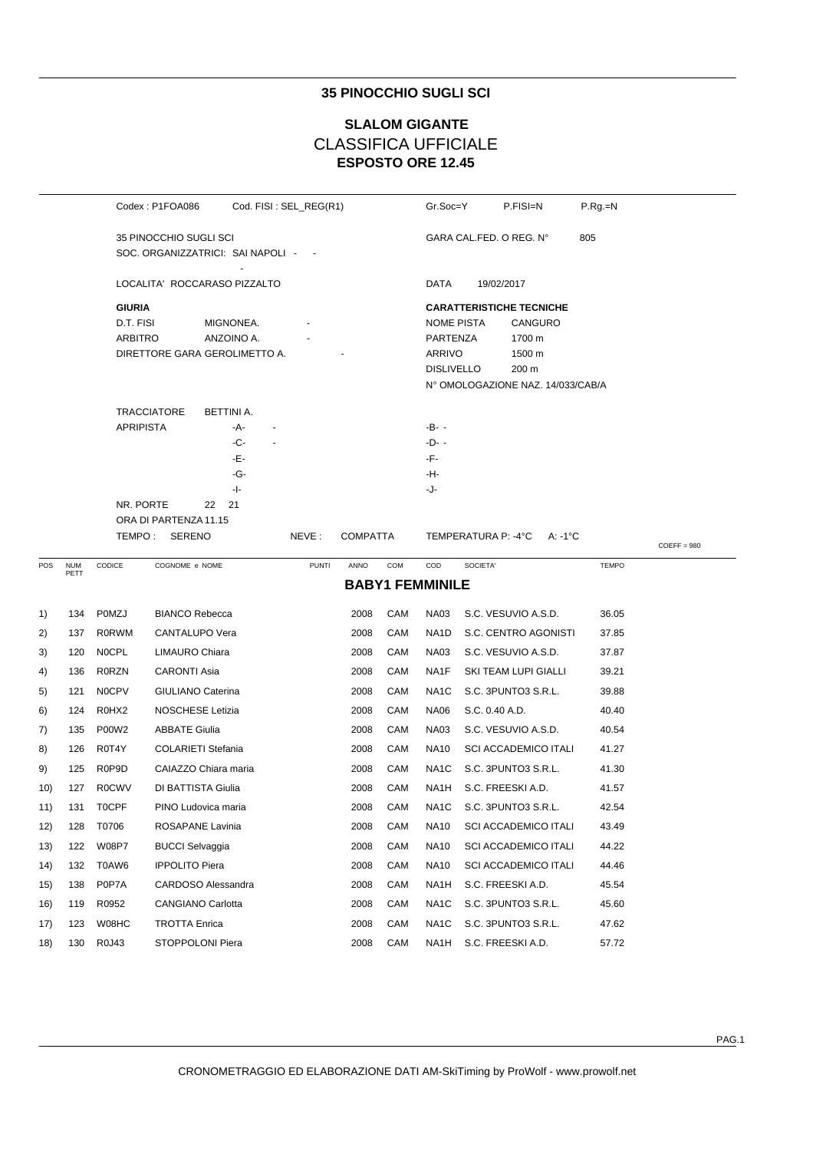## 35 PINOCCHIO SUGLI SCI

# **SLALOM GIGANTE CLASSIFICA UFFICIALE ESPOSTO ORE 12.45**

|     |                    |                  | Codex: P1FOA086              | Cod. FISI: SEL_REG(R1)              |              |                 |     | Gr.Soc=Y               | P.FISI=N                                   | $P.Rg=N$         |               |
|-----|--------------------|------------------|------------------------------|-------------------------------------|--------------|-----------------|-----|------------------------|--------------------------------------------|------------------|---------------|
|     |                    |                  | 35 PINOCCHIO SUGLI SCI       |                                     |              |                 |     |                        | GARA CAL FED. O REG. N°                    | 805              |               |
|     |                    |                  |                              | SOC. ORGANIZZATRICI: SAI NAPOLI - - |              |                 |     |                        |                                            |                  |               |
|     |                    |                  | LOCALITA' ROCCARASO PIZZALTO |                                     |              |                 |     | DATA                   | 19/02/2017                                 |                  |               |
|     |                    | <b>GIURIA</b>    |                              |                                     |              |                 |     |                        | <b>CARATTERISTICHE TECNICHE</b>            |                  |               |
|     |                    | D.T. FISI        |                              | MIGNONEA.                           |              |                 |     | NOME PISTA             | CANGURO                                    |                  |               |
|     |                    | <b>ARBITRO</b>   |                              | ANZOINO A.                          |              |                 |     | PARTENZA               | 1700 m                                     |                  |               |
|     |                    |                  |                              | DIRETTORE GARA GEROLIMETTO A.       |              |                 |     | <b>ARRIVO</b>          | 1500 m                                     |                  |               |
|     |                    |                  |                              |                                     |              |                 |     | <b>DISLIVELLO</b>      | 200 m<br>N° OMOLOGAZIONE NAZ. 14/033/CAB/A |                  |               |
|     |                    |                  | <b>TRACCIATORE</b>           | BETTINI A.                          |              |                 |     |                        |                                            |                  |               |
|     |                    | <b>APRIPISTA</b> |                              | -A-                                 |              |                 |     | -B- -                  |                                            |                  |               |
|     |                    |                  |                              | -C-                                 |              |                 |     | $-D-$                  |                                            |                  |               |
|     |                    |                  |                              | -Е-                                 |              |                 |     | -F-                    |                                            |                  |               |
|     |                    |                  |                              | -G-                                 |              |                 |     | -H-                    |                                            |                  |               |
|     |                    | NR. PORTE        |                              | - -<br>21                           |              |                 |     | -J-                    |                                            |                  |               |
|     |                    |                  | 22<br>ORA DI PARTENZA 11.15  |                                     |              |                 |     |                        |                                            |                  |               |
|     |                    |                  | TEMPO: SERENO                |                                     | NEVE:        | <b>COMPATTA</b> |     |                        | TEMPERATURA P: -4°C                        | $A: -1^{\circ}C$ |               |
|     |                    |                  |                              |                                     |              |                 |     |                        |                                            |                  | $COEFF = 980$ |
| POS | <b>NUM</b><br>PETT | CODICE           | COGNOME e NOME               |                                     | <b>PUNTI</b> | ANNO            | COM | COD                    | SOCIETA'                                   | <b>TEMPO</b>     |               |
|     |                    |                  |                              |                                     |              |                 |     | <b>BABY1 FEMMINILE</b> |                                            |                  |               |
| 1)  | 134                | P0MZJ            | <b>BIANCO Rebecca</b>        |                                     |              | 2008            | CAM | <b>NA03</b>            | S.C. VESUVIO A.S.D.                        | 36.05            |               |
| 2)  | 137                | R0RWM            | CANTALUPO Vera               |                                     |              | 2008            | CAM | NA1D                   | S.C. CENTRO AGONISTI                       | 37.85            |               |
| 3)  | 120                | <b>NOCPL</b>     | LIMAURO Chiara               |                                     |              | 2008            | CAM | <b>NA03</b>            | S.C. VESUVIO A.S.D.                        | 37.87            |               |
| 4)  | 136                | <b>R0RZN</b>     | CARONTI Asia                 |                                     |              | 2008            | CAM | NA1F                   | SKI TEAM LUPI GIALLI                       | 39.21            |               |
| 5)  | 121                | <b>NOCPV</b>     | GIULIANO Caterina            |                                     |              | 2008            | CAM | NA <sub>1</sub> C      | S.C. 3PUNTO3 S.R.L.                        | 39.88            |               |
| 6)  | 124                | R0HX2            | <b>NOSCHESE Letizia</b>      |                                     |              | 2008            | CAM | <b>NA06</b>            | S.C. 0.40 A.D.                             | 40.40            |               |
| 7)  | 135                | P00W2            | <b>ABBATE Giulia</b>         |                                     |              | 2008            | CAM | <b>NA03</b>            | S.C. VESUVIO A.S.D.                        | 40.54            |               |
| 8)  | 126                | R0T4Y            | <b>COLARIETI Stefania</b>    |                                     |              | 2008            | CAM | <b>NA10</b>            | SCI ACCADEMICO ITALI                       | 41.27            |               |
| 9)  | 125                | R0P9D            | CAIAZZO Chiara maria         |                                     |              | 2008            | CAM | NA1C                   | S.C. 3PUNTO3 S.R.L.                        | 41.30            |               |
| 10) | 127                | <b>R0CWV</b>     | <b>DI BATTISTA Giulia</b>    |                                     |              | 2008            | CAM | NA1H                   | S.C. FREESKI A.D.                          | 41.57            |               |
| 11) | 131                | <b>TOCPF</b>     | PINO Ludovica maria          |                                     |              | 2008            | CAM | NA <sub>1</sub> C      | S.C. 3PUNTO3 S.R.L.                        | 42.54            |               |
| 12) | 128                | T0706            | ROSAPANE Lavinia             |                                     |              | 2008            | CAM | <b>NA10</b>            | <b>SCI ACCADEMICO ITALI</b>                | 43.49            |               |
| 13) | 122                | W08P7            | <b>BUCCI Selvaggia</b>       |                                     |              | 2008            | CAM | <b>NA10</b>            | <b>SCI ACCADEMICO ITALI</b>                | 44.22            |               |
| 14) | 132                | T0AW6            | <b>IPPOLITO Piera</b>        |                                     |              | 2008            | CAM | NA10                   | <b>SCI ACCADEMICO ITALI</b>                | 44.46            |               |
| 15) | 138                | P0P7A            | CARDOSO Alessandra           |                                     |              | 2008            | CAM | NA1H                   | S.C. FREESKI A.D.                          | 45.54            |               |
| 16) | 119                | R0952            | <b>CANGIANO Carlotta</b>     |                                     |              | 2008            | CAM | NA1C                   | S.C. 3PUNTO3 S.R.L.                        | 45.60            |               |
| 17) | 123                | W08HC            | TROTTA Enrica                |                                     |              | 2008            | CAM | NA <sub>1</sub> C      | S.C. 3PUNTO3 S.R.L.                        | 47.62            |               |
| 18) | 130                | R0J43            | STOPPOLONI Piera             |                                     |              | 2008            | CAM | NA1H                   | S.C. FREESKI A.D.                          | 57.72            |               |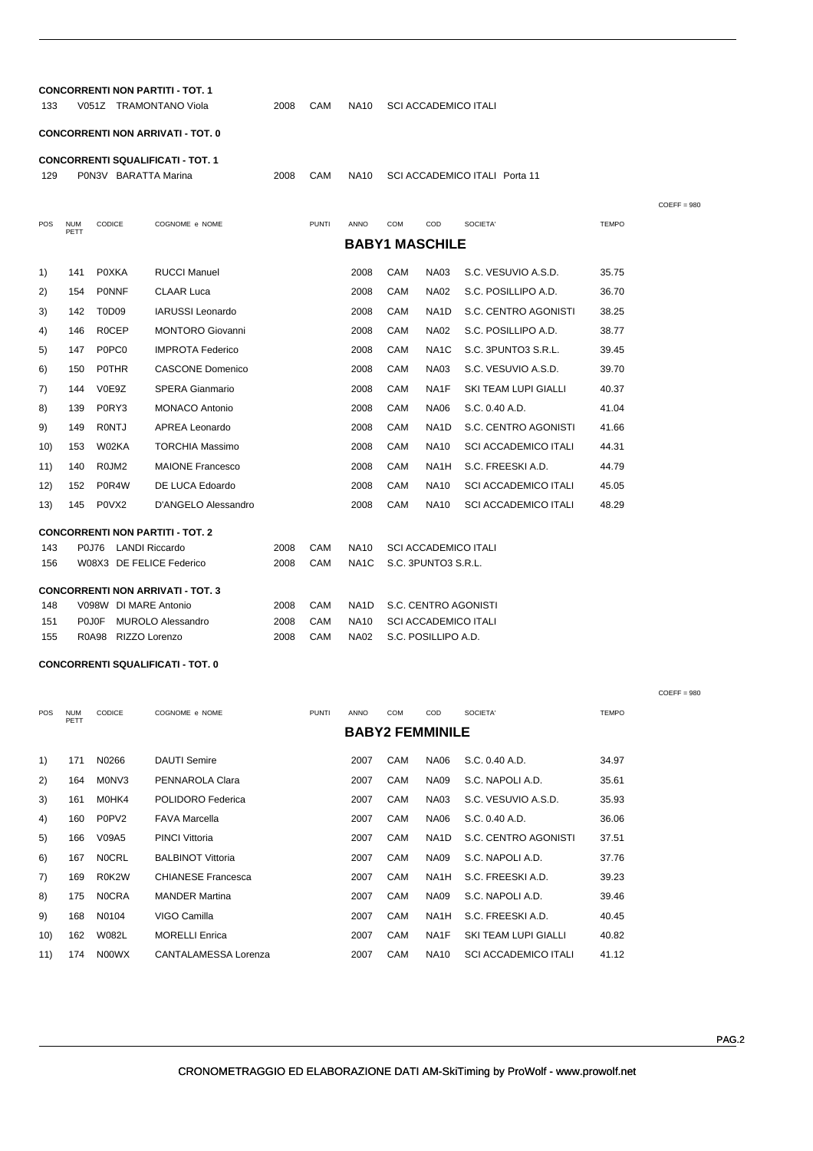| 133  |                    |                       | <b>CONCORRENTI NON PARTITI - TOT. 1</b><br>V051Z TRAMONTANO Viola | 2008 | CAM          | <b>NA10</b>       |                             |                               | <b>SCI ACCADEMICO ITALI</b> |              |               |  |
|------|--------------------|-----------------------|-------------------------------------------------------------------|------|--------------|-------------------|-----------------------------|-------------------------------|-----------------------------|--------------|---------------|--|
|      |                    |                       | <b>CONCORRENTI NON ARRIVATI - TOT. 0</b>                          |      |              |                   |                             |                               |                             |              |               |  |
| 129  |                    | P0N3V BARATTA Marina  | <b>CONCORRENTI SQUALIFICATI - TOT. 1</b>                          | 2008 | CAM          | NA10              |                             | SCI ACCADEMICO ITALI Porta 11 |                             |              |               |  |
|      |                    |                       |                                                                   |      |              |                   |                             |                               |                             |              | $COEFF = 980$ |  |
| POS  | <b>NUM</b><br>PETT | <b>CODICE</b>         | COGNOME e NOME                                                    |      | <b>PUNTI</b> | ANNO              | <b>COM</b>                  | COD                           | SOCIETA'                    | <b>TEMPO</b> |               |  |
|      |                    |                       |                                                                   |      |              |                   |                             | <b>BABY1 MASCHILE</b>         |                             |              |               |  |
| 1)   | 141                | <b>P0XKA</b>          | <b>RUCCI Manuel</b>                                               |      |              | 2008              | CAM                         | <b>NA03</b>                   | S.C. VESUVIO A.S.D.         | 35.75        |               |  |
| 2)   | 154                | <b>PONNF</b>          | <b>CLAAR Luca</b>                                                 |      |              | 2008              | CAM                         | <b>NA02</b>                   | S.C. POSILLIPO A.D.         | 36.70        |               |  |
| 3)   | 142                | T0D09                 | IARUSSI Leonardo                                                  |      |              | 2008              | CAM                         | NA1D                          | S.C. CENTRO AGONISTI        | 38.25        |               |  |
| 4)   | 146                | <b>ROCEP</b>          | <b>MONTORO Giovanni</b>                                           |      |              | 2008              | CAM                         | <b>NA02</b>                   | S.C. POSILLIPO A.D.         | 38.77        |               |  |
| 5)   | 147                | P0PC0                 | <b>IMPROTA Federico</b>                                           |      |              | 2008              | CAM                         | NA <sub>1</sub> C             | S.C. 3PUNTO3 S.R.L.         | 39.45        |               |  |
| 6)   | 150                | <b>POTHR</b>          | <b>CASCONE Domenico</b>                                           |      |              | 2008              | CAM                         | <b>NA03</b>                   | S.C. VESUVIO A.S.D.         | 39.70        |               |  |
| 7)   | 144                | V0E9Z                 | <b>SPERA Gianmario</b>                                            |      |              | 2008              | CAM                         | NA1F                          | SKI TEAM LUPI GIALLI        | 40.37        |               |  |
| 8)   | 139                | P0RY3                 | <b>MONACO Antonio</b>                                             |      |              | 2008              | CAM                         | <b>NA06</b>                   | S.C. 0.40 A.D.              | 41.04        |               |  |
| 9)   | 149                | <b>RONTJ</b>          | APREA Leonardo                                                    |      |              | 2008              | CAM                         | NA <sub>1</sub> D             | S.C. CENTRO AGONISTI        | 41.66        |               |  |
| 10)  | 153                | W02KA                 | <b>TORCHIA Massimo</b>                                            |      |              | 2008              | CAM                         | <b>NA10</b>                   | <b>SCI ACCADEMICO ITALI</b> | 44.31        |               |  |
| 11)  | 140                | R0JM2                 | <b>MAIONE Francesco</b>                                           |      |              | 2008              | CAM                         | NA1H                          | S.C. FREESKI A.D.           | 44.79        |               |  |
| 12)  | 152                | P0R4W                 | DE LUCA Edoardo                                                   |      |              | 2008              | CAM                         | <b>NA10</b>                   | <b>SCI ACCADEMICO ITALI</b> | 45.05        |               |  |
| (13) | 145                | P0VX2                 | D'ANGELO Alessandro                                               |      |              | 2008              | CAM                         | <b>NA10</b>                   | <b>SCI ACCADEMICO ITALI</b> | 48.29        |               |  |
|      |                    |                       | <b>CONCORRENTI NON PARTITI - TOT. 2</b>                           |      |              |                   |                             |                               |                             |              |               |  |
| 143  |                    | P0J76 LANDI Riccardo  |                                                                   | 2008 | CAM          | <b>NA10</b>       |                             |                               | <b>SCI ACCADEMICO ITALI</b> |              |               |  |
| 156  |                    |                       | W08X3 DE FELICE Federico                                          | 2008 | CAM          | NA1C              |                             | S.C. 3PUNTO3 S.R.L.           |                             |              |               |  |
|      |                    |                       | <b>CONCORRENTI NON ARRIVATI - TOT. 3</b>                          |      |              |                   |                             |                               |                             |              |               |  |
| 148  |                    | V098W DI MARE Antonio |                                                                   | 2008 | CAM          | NA <sub>1</sub> D | S.C. CENTRO AGONISTI        |                               |                             |              |               |  |
| 151  |                    | <b>POJOF</b>          | <b>MUROLO Alessandro</b>                                          | 2008 | CAM          | <b>NA10</b>       | <b>SCI ACCADEMICO ITALI</b> |                               |                             |              |               |  |
| 155  |                    | R0A98 RIZZO Lorenzo   |                                                                   | 2008 | CAM          | <b>NA02</b>       |                             | S.C. POSILLIPO A.D.           |                             |              |               |  |

### **CONCORRENTI SQUALIFICATI - TOT. 0**

| <b>POS</b> | <b>NUM</b><br>PETT | <b>CODICE</b>                  | COGNOME e NOME              | <b>PUNTI</b> | ANNO | <b>COM</b> | COD                    | SOCIETA'                    | <b>TEMPO</b> |
|------------|--------------------|--------------------------------|-----------------------------|--------------|------|------------|------------------------|-----------------------------|--------------|
|            |                    |                                |                             |              |      |            | <b>BABY2 FEMMINILE</b> |                             |              |
| 1)         | 171                | N0266                          | <b>DAUTI Semire</b>         |              | 2007 | CAM        | <b>NA06</b>            | S.C. 0.40 A.D.              | 34.97        |
|            |                    |                                |                             |              |      |            |                        |                             |              |
| 2)         | 164                | M0NV3                          | PENNAROLA Clara             |              | 2007 | CAM        | <b>NA09</b>            | S.C. NAPOLI A.D.            | 35.61        |
| 3)         | 161                | M0HK4                          | POLIDORO Federica           |              | 2007 | CAM        | <b>NA03</b>            | S.C. VESUVIO A.S.D.         | 35.93        |
| 4)         | 160                | P <sub>0</sub> P <sub>V2</sub> | <b>FAVA Marcella</b>        |              | 2007 | CAM        | <b>NA06</b>            | S.C. 0.40 A.D.              | 36.06        |
| 5)         | 166                | V09A5                          | <b>PINCI Vittoria</b>       |              | 2007 | CAM        | NA <sub>1</sub> D      | S.C. CENTRO AGONISTI        | 37.51        |
| 6)         | 167                | <b>NOCRL</b>                   | <b>BALBINOT Vittoria</b>    |              | 2007 | CAM        | <b>NA09</b>            | S.C. NAPOLI A.D.            | 37.76        |
| 7)         | 169                | R0K2W                          | <b>CHIANESE Francesca</b>   |              | 2007 | CAM        | NA <sub>1</sub> H      | S.C. FREESKI A.D.           | 39.23        |
| 8)         | 175                | <b>NOCRA</b>                   | <b>MANDER Martina</b>       |              | 2007 | CAM        | <b>NA09</b>            | S.C. NAPOLI A.D.            | 39.46        |
| 9)         | 168                | N0104                          | VIGO Camilla                |              | 2007 | CAM        | NA <sub>1</sub> H      | S.C. FREESKI A.D.           | 40.45        |
| 10)        | 162                | <b>W082L</b>                   | <b>MORELLI Enrica</b>       |              | 2007 | CAM        | NA <sub>1</sub> F      | <b>SKI TEAM LUPI GIALLI</b> | 40.82        |
| 11)        | 174                | N00WX                          | <b>CANTALAMESSA Lorenza</b> |              | 2007 | CAM        | <b>NA10</b>            | <b>SCI ACCADEMICO ITALI</b> | 41.12        |

COEFF = 980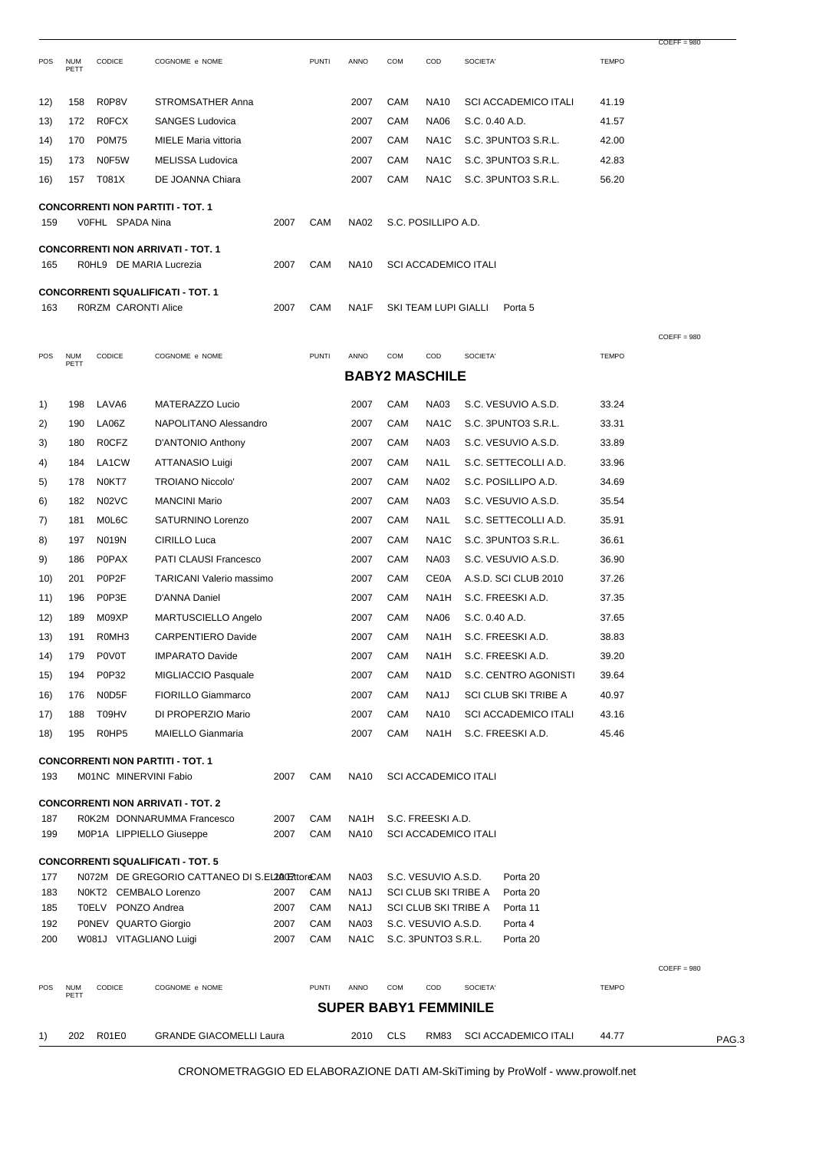|            |                    |                      |                                                                                             |              |              |                                  |            |                                  |                             |                                                  |                | $COEFF = 980$ |       |
|------------|--------------------|----------------------|---------------------------------------------------------------------------------------------|--------------|--------------|----------------------------------|------------|----------------------------------|-----------------------------|--------------------------------------------------|----------------|---------------|-------|
| POS        | <b>NUM</b><br>PETT | CODICE               | COGNOME e NOME                                                                              |              | <b>PUNTI</b> | ANNO                             | <b>COM</b> | COD                              | SOCIETA'                    |                                                  | <b>TEMPO</b>   |               |       |
| 12)        | 158                | R0P8V                | <b>STROMSATHER Anna</b>                                                                     |              |              | 2007                             | CAM        | <b>NA10</b>                      |                             | <b>SCI ACCADEMICO ITALI</b>                      | 41.19          |               |       |
| (13)       | 172                | <b>R0FCX</b>         | <b>SANGES Ludovica</b>                                                                      |              |              | 2007                             | CAM        | <b>NA06</b>                      | S.C. 0.40 A.D.              |                                                  | 41.57          |               |       |
| 14)        | 170                | <b>P0M75</b>         | MIELE Maria vittoria                                                                        |              |              | 2007                             | CAM        | NA1C                             |                             | S.C. 3PUNTO3 S.R.L.                              | 42.00          |               |       |
| 15)        | 173                | N0F5W                | MELISSA Ludovica                                                                            |              |              | 2007                             | CAM        | NA <sub>1</sub> C                |                             | S.C. 3PUNTO3 S.R.L.                              | 42.83          |               |       |
| 16)        | 157                | T081X                | DE JOANNA Chiara                                                                            |              |              | 2007                             | CAM        | NA1C                             |                             | S.C. 3PUNTO3 S.R.L.                              | 56.20          |               |       |
| 159        |                    | VOFHL SPADA Nina     | <b>CONCORRENTI NON PARTITI - TOT. 1</b>                                                     | 2007         | CAM          | <b>NA02</b>                      |            | S.C. POSILLIPO A.D.              |                             |                                                  |                |               |       |
| 165        |                    |                      | <b>CONCORRENTI NON ARRIVATI - TOT. 1</b><br>R0HL9 DE MARIA Lucrezia                         | 2007         | CAM          | <b>NA10</b>                      |            |                                  | <b>SCI ACCADEMICO ITALI</b> |                                                  |                |               |       |
|            |                    |                      | <b>CONCORRENTI SQUALIFICATI - TOT. 1</b>                                                    |              |              |                                  |            |                                  |                             |                                                  |                |               |       |
| 163        |                    | R0RZM CARONTI Alice  |                                                                                             | 2007         | CAM          | NA1F                             |            | SKI TEAM LUPI GIALLI             |                             | Porta 5                                          |                |               |       |
|            |                    |                      |                                                                                             |              |              |                                  |            |                                  |                             |                                                  |                | $COEFF = 980$ |       |
| POS        | <b>NUM</b><br>PETT | CODICE               | COGNOME e NOME                                                                              |              | <b>PUNTI</b> | ANNO                             | COM        | COD                              | SOCIETA'                    |                                                  | <b>TEMPO</b>   |               |       |
|            |                    |                      |                                                                                             |              |              |                                  |            | <b>BABY2 MASCHILE</b>            |                             |                                                  |                |               |       |
| 1)         | 198                | LAVA <sub>6</sub>    | MATERAZZO Lucio                                                                             |              |              | 2007                             | CAM        | <b>NA03</b>                      |                             | S.C. VESUVIO A.S.D.                              | 33.24          |               |       |
| 2)         | 190                | LA06Z                | NAPOLITANO Alessandro                                                                       |              |              | 2007                             | CAM        | NA <sub>1</sub> C                |                             | S.C. 3PUNTO3 S.R.L.                              | 33.31          |               |       |
| 3)         | 180                | <b>ROCFZ</b>         | D'ANTONIO Anthony                                                                           |              |              | 2007                             | CAM        | <b>NA03</b>                      |                             | S.C. VESUVIO A.S.D.                              | 33.89          |               |       |
| 4)         | 184                | LA1CW                | ATTANASIO Luigi                                                                             |              |              | 2007                             | CAM        | NA1L                             |                             | S.C. SETTECOLLI A.D.                             | 33.96          |               |       |
| 5)         | 178                | N0KT7                | <b>TROIANO Niccolo</b>                                                                      |              |              | 2007                             | CAM        | <b>NA02</b>                      |                             | S.C. POSILLIPO A.D.                              | 34.69          |               |       |
| 6)         | 182                | N02VC                | <b>MANCINI Mario</b>                                                                        |              |              | 2007                             | CAM        | <b>NA03</b>                      |                             | S.C. VESUVIO A.S.D.                              | 35.54          |               |       |
| 7)         | 181                | M0L6C                | SATURNINO Lorenzo                                                                           |              |              | 2007                             | CAM        | NA1L                             |                             | S.C. SETTECOLLI A.D.                             | 35.91          |               |       |
| 8)         | 197                | N019N                | CIRILLO Luca                                                                                |              |              | 2007                             | CAM        | NA1C                             |                             | S.C. 3PUNTO3 S.R.L.                              | 36.61          |               |       |
| 9)         | 186                | <b>P0PAX</b>         | PATI CLAUSI Francesco                                                                       |              |              | 2007                             | CAM        | <b>NA03</b>                      |                             | S.C. VESUVIO A.S.D.                              | 36.90          |               |       |
| 10)        | 201                | P0P2F                | <b>TARICANI Valerio massimo</b>                                                             |              |              | 2007                             | CAM        | <b>CE0A</b>                      |                             | A.S.D. SCI CLUB 2010                             | 37.26          |               |       |
| 11)        | 196                | P0P3E                | D'ANNA Daniel                                                                               |              |              | 2007                             | CAM        | NA1H                             |                             | S.C. FREESKI A.D.                                | 37.35          |               |       |
| 12)        | 189                | M09XP                | MARTUSCIELLO Angelo                                                                         |              |              | 2007                             | CAM        | <b>NA06</b>                      | S.C. 0.40 A.D.              |                                                  | 37.65          |               |       |
| 13)        | 191                | R0MH3                | CARPENTIERO Davide                                                                          |              |              | 2007                             | CAM        | NA1H                             |                             | S.C. FREESKI A.D.                                | 38.83          |               |       |
| 14)        | 179                | <b>P0V0T</b>         | <b>IMPARATO Davide</b>                                                                      |              |              | 2007                             | CAM        | NA <sub>1</sub> H                |                             | S.C. FREESKI A.D.                                | 39.20          |               |       |
| 15)        | 194                | P0P32                | MIGLIACCIO Pasquale                                                                         |              |              | 2007                             | CAM        | NA <sub>1</sub> D                |                             | S.C. CENTRO AGONISTI                             | 39.64          |               |       |
|            |                    | N0D5F                |                                                                                             |              |              | 2007                             | CAM        |                                  |                             |                                                  |                |               |       |
| 16)        | 176                |                      | <b>FIORILLO Giammarco</b>                                                                   |              |              |                                  |            | NA <sub>1</sub> J                |                             | SCI CLUB SKI TRIBE A                             | 40.97          |               |       |
| 17)<br>18) | 188<br>195         | T09HV<br>R0HP5       | DI PROPERZIO Mario<br><b>MAIELLO Gianmaria</b>                                              |              |              | 2007<br>2007                     | CAM<br>CAM | <b>NA10</b><br>NA <sub>1</sub> H |                             | <b>SCI ACCADEMICO ITALI</b><br>S.C. FREESKI A.D. | 43.16<br>45.46 |               |       |
|            |                    |                      |                                                                                             |              |              |                                  |            |                                  |                             |                                                  |                |               |       |
| 193        |                    |                      | <b>CONCORRENTI NON PARTITI - TOT. 1</b><br>M01NC MINERVINI Fabio                            | 2007         | CAM          | <b>NA10</b>                      |            |                                  | <b>SCI ACCADEMICO ITALI</b> |                                                  |                |               |       |
|            |                    |                      | <b>CONCORRENTI NON ARRIVATI - TOT. 2</b>                                                    |              |              |                                  |            |                                  |                             |                                                  |                |               |       |
| 187<br>199 |                    |                      | R0K2M DONNARUMMA Francesco                                                                  | 2007<br>2007 | CAM<br>CAM   | NA <sub>1</sub> H<br><b>NA10</b> |            | S.C. FREESKI A.D.                | <b>SCI ACCADEMICO ITALI</b> |                                                  |                |               |       |
|            |                    |                      | M0P1A LIPPIELLO Giuseppe                                                                    |              |              |                                  |            |                                  |                             |                                                  |                |               |       |
| 177        |                    |                      | <b>CONCORRENTI SQUALIFICATI - TOT. 5</b><br>N072M DE GREGORIO CATTANEO DI S.EL200E7ttoreCAM |              |              |                                  |            | S.C. VESUVIO A.S.D.              |                             | Porta 20                                         |                |               |       |
| 183        |                    |                      | N0KT2 CEMBALO Lorenzo                                                                       | 2007         | CAM          | <b>NA03</b><br>NA <sub>1</sub> J |            | SCI CLUB SKI TRIBE A             |                             | Porta 20                                         |                |               |       |
| 185        |                    | T0ELV PONZO Andrea   |                                                                                             | 2007         | CAM          | NA <sub>1</sub> J                |            | SCI CLUB SKI TRIBE A             |                             | Porta 11                                         |                |               |       |
| 192        |                    | P0NEV QUARTO Giorgio |                                                                                             | 2007         | CAM          | <b>NA03</b>                      |            | S.C. VESUVIO A.S.D.              |                             | Porta 4                                          |                |               |       |
| 200        |                    |                      | W081J VITAGLIANO Luigi                                                                      | 2007         | CAM          | NA <sub>1</sub> C                |            | S.C. 3PUNTO3 S.R.L.              |                             | Porta 20                                         |                |               |       |
|            |                    |                      |                                                                                             |              |              |                                  |            |                                  |                             |                                                  |                | $COEFF = 980$ |       |
| POS        | <b>NUM</b><br>PETT | CODICE               | COGNOME e NOME                                                                              |              | <b>PUNTI</b> | ANNO                             | COM        | COD                              | SOCIETA'                    |                                                  | <b>TEMPO</b>   |               |       |
|            |                    |                      |                                                                                             |              |              | <b>SUPER BABY1 FEMMINILE</b>     |            |                                  |                             |                                                  |                |               |       |
| 1)         | 202                | R01E0                | <b>GRANDE GIACOMELLI Laura</b>                                                              |              |              | 2010                             | <b>CLS</b> | <b>RM83</b>                      |                             | <b>SCI ACCADEMICO ITALI</b>                      | 44.77          |               | PAG.3 |
|            |                    |                      |                                                                                             |              |              |                                  |            |                                  |                             |                                                  |                |               |       |

CRONOMETRAGGIO ED ELABORAZIONE DATI AM-SkiTiming by ProWolf - www.prowolf.net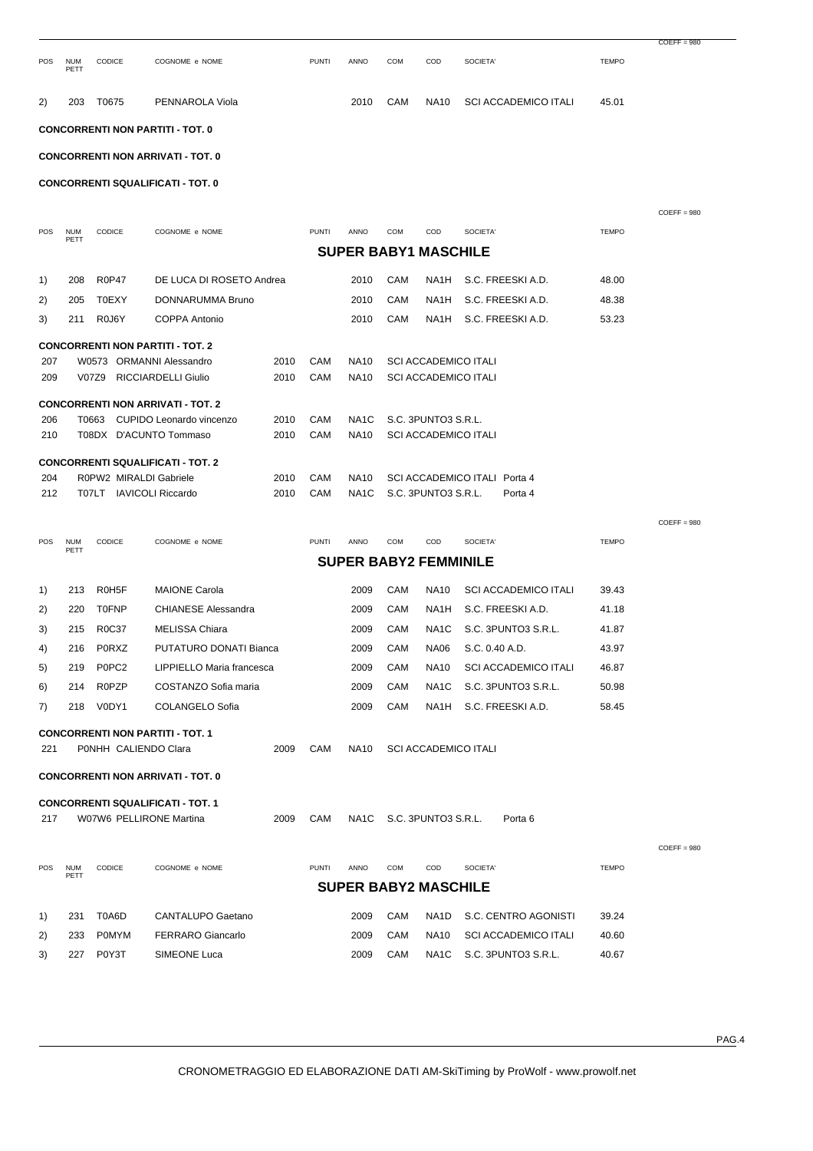|            |                    |                         |                                                                            |              |              |                                     |            |                     |                                                            |              | $COEFF = 980$ |
|------------|--------------------|-------------------------|----------------------------------------------------------------------------|--------------|--------------|-------------------------------------|------------|---------------------|------------------------------------------------------------|--------------|---------------|
| <b>POS</b> | <b>NUM</b><br>PETT | CODICE                  | COGNOME e NOME                                                             |              | <b>PUNTI</b> | <b>ANNO</b>                         | COM        | COD                 | SOCIETA'                                                   | <b>TEMPO</b> |               |
| 2)         | 203                | T0675                   | PENNAROLA Viola                                                            |              |              | 2010                                | CAM        | <b>NA10</b>         | <b>SCI ACCADEMICO ITALI</b>                                | 45.01        |               |
|            |                    |                         | <b>CONCORRENTI NON PARTITI - TOT. 0</b>                                    |              |              |                                     |            |                     |                                                            |              |               |
|            |                    |                         | <b>CONCORRENTI NON ARRIVATI - TOT. 0</b>                                   |              |              |                                     |            |                     |                                                            |              |               |
|            |                    |                         | <b>CONCORRENTI SQUALIFICATI - TOT. 0</b>                                   |              |              |                                     |            |                     |                                                            |              |               |
|            |                    |                         |                                                                            |              |              |                                     |            |                     |                                                            |              |               |
|            |                    |                         |                                                                            |              |              |                                     |            |                     |                                                            |              | $COEFF = 980$ |
| POS        | <b>NUM</b><br>PETT | CODICE                  | COGNOME e NOME                                                             |              | <b>PUNTI</b> | ANNO<br><b>SUPER BABY1 MASCHILE</b> | <b>COM</b> | COD                 | SOCIETA'                                                   | <b>TEMPO</b> |               |
|            |                    |                         |                                                                            |              |              |                                     |            |                     |                                                            |              |               |
| 1)         | 208                | <b>R0P47</b>            | DE LUCA DI ROSETO Andrea                                                   |              |              | 2010                                | CAM        | NA1H                | S.C. FREESKI A.D.                                          | 48.00        |               |
| 2)         | 205                | <b>T0EXY</b>            | DONNARUMMA Bruno                                                           |              |              | 2010                                | CAM        | NA1H                | S.C. FREESKI A.D.                                          | 48.38        |               |
| 3)         | 211                | R0J6Y                   | <b>COPPA Antonio</b>                                                       |              |              | 2010                                | CAM        | NA1H                | S.C. FREESKI A.D.                                          | 53.23        |               |
|            |                    |                         | <b>CONCORRENTI NON PARTITI - TOT. 2</b>                                    |              |              |                                     |            |                     |                                                            |              |               |
| 207<br>209 |                    |                         | W0573 ORMANNI Alessandro<br>V07Z9 RICCIARDELLI Giulio                      | 2010<br>2010 | CAM<br>CAM   | <b>NA10</b><br><b>NA10</b>          |            |                     | <b>SCI ACCADEMICO ITALI</b><br><b>SCI ACCADEMICO ITALI</b> |              |               |
|            |                    |                         |                                                                            |              |              |                                     |            |                     |                                                            |              |               |
| 206        |                    |                         | <b>CONCORRENTI NON ARRIVATI - TOT. 2</b><br>T0663 CUPIDO Leonardo vincenzo | 2010         | CAM          | NA1C                                |            | S.C. 3PUNTO3 S.R.L. |                                                            |              |               |
| 210        |                    |                         | T08DX D'ACUNTO Tommaso                                                     | 2010         | CAM          | <b>NA10</b>                         |            |                     | <b>SCI ACCADEMICO ITALI</b>                                |              |               |
|            |                    |                         |                                                                            |              |              |                                     |            |                     |                                                            |              |               |
| 204        |                    | R0PW2 MIRALDI Gabriele  | <b>CONCORRENTI SQUALIFICATI - TOT. 2</b>                                   | 2010         | CAM          | <b>NA10</b>                         |            |                     | SCI ACCADEMICO ITALI Porta 4                               |              |               |
| 212        |                    | T07LT IAVICOLI Riccardo |                                                                            | 2010         | CAM          | NA <sub>1</sub> C                   |            | S.C. 3PUNTO3 S.R.L. | Porta 4                                                    |              |               |
|            |                    |                         |                                                                            |              |              |                                     |            |                     |                                                            |              | $COEFF = 980$ |
| <b>POS</b> | <b>NUM</b>         | CODICE                  | COGNOME e NOME                                                             |              | <b>PUNTI</b> | ANNO                                | COM        | COD                 | SOCIETA'                                                   | <b>TEMPO</b> |               |
|            | PETT               |                         |                                                                            |              |              | <b>SUPER BABY2 FEMMINILE</b>        |            |                     |                                                            |              |               |
|            | 213                | R0H5F                   | <b>MAIONE Carola</b>                                                       |              |              | 2009                                | CAM        | <b>NA10</b>         | <b>SCI ACCADEMICO ITALI</b>                                | 39.43        |               |
| 1)<br>2)   | 220                | <b>T0FNP</b>            | <b>CHIANESE Alessandra</b>                                                 |              |              | 2009                                | CAM        | NA1H                | S.C. FREESKI A.D.                                          | 41.18        |               |
| 3)         | 215                | R0C37                   | MELISSA Chiara                                                             |              |              | 2009                                | CAM        | NA1C                | S.C. 3PUNTO3 S.R.L.                                        | 41.87        |               |
| 4)         |                    | 216 PORXZ               | PUTATURO DONATI Bianca                                                     |              |              | 2009                                | CAM        |                     | NA06 S.C. 0.40 A.D.                                        | 43.97        |               |
| 5)         | 219                | P0PC <sub>2</sub>       | LIPPIELLO Maria francesca                                                  |              |              | 2009                                | CAM        | <b>NA10</b>         | <b>SCI ACCADEMICO ITALI</b>                                | 46.87        |               |
| 6)         | 214                | R0PZP                   | COSTANZO Sofia maria                                                       |              |              | 2009                                | CAM        | NA <sub>1</sub> C   | S.C. 3PUNTO3 S.R.L.                                        | 50.98        |               |
| 7)         |                    | 218 V0DY1               | COLANGELO Sofia                                                            |              |              | 2009                                | CAM        | NA1H                | S.C. FREESKI A.D.                                          | 58.45        |               |
|            |                    |                         | <b>CONCORRENTI NON PARTITI - TOT. 1</b>                                    |              |              |                                     |            |                     |                                                            |              |               |
| 221        |                    | P0NHH CALIENDO Clara    |                                                                            | 2009         | CAM          | NA10                                |            |                     | <b>SCI ACCADEMICO ITALI</b>                                |              |               |
|            |                    |                         | <b>CONCORRENTI NON ARRIVATI - TOT. 0</b>                                   |              |              |                                     |            |                     |                                                            |              |               |
|            |                    |                         | <b>CONCORRENTI SQUALIFICATI - TOT. 1</b>                                   |              |              |                                     |            |                     |                                                            |              |               |
| 217        |                    |                         | W07W6 PELLIRONE Martina                                                    | 2009         | CAM          | NA1C                                |            | S.C. 3PUNTO3 S.R.L. | Porta <sub>6</sub>                                         |              |               |
|            |                    |                         |                                                                            |              |              |                                     |            |                     |                                                            |              |               |
|            |                    |                         |                                                                            |              |              |                                     |            |                     |                                                            |              | $COEFF = 980$ |
| POS        | <b>NUM</b><br>PETT | CODICE                  | COGNOME e NOME                                                             |              | <b>PUNTI</b> | ANNO                                | COM        | COD                 | SOCIETA'                                                   | <b>TEMPO</b> |               |
|            |                    |                         |                                                                            |              |              | <b>SUPER BABY2 MASCHILE</b>         |            |                     |                                                            |              |               |
| 1)         | 231                | T0A6D                   | CANTALUPO Gaetano                                                          |              |              | 2009                                | CAM        | NA1D                | S.C. CENTRO AGONISTI                                       | 39.24        |               |
| 2)         | 233                | <b>POMYM</b>            | <b>FERRARO Giancarlo</b>                                                   |              |              | 2009                                | CAM        | <b>NA10</b>         | <b>SCI ACCADEMICO ITALI</b>                                | 40.60        |               |
| 3)         | 227                | P0Y3T                   | SIMEONE Luca                                                               |              |              | 2009                                | CAM        | NA1C                | S.C. 3PUNTO3 S.R.L.                                        | 40.67        |               |